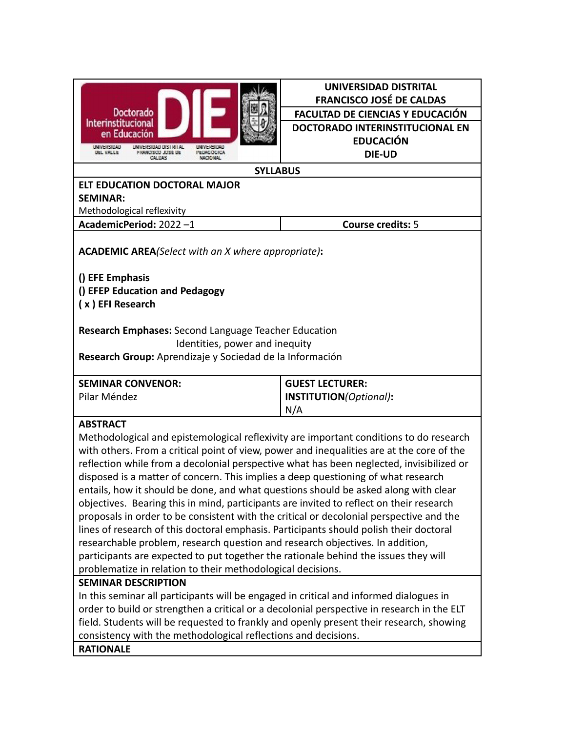| UNIVERSIDAD DISTRITAL<br><b>FRANCISCO JOSÉ DE CALDAS</b><br>Doctorado<br><b>FACULTAD DE CIENCIAS Y EDUCACIÓN</b><br><b>Interinstitucional</b><br>DOCTORADO INTERINSTITUCIONAL EN<br>en Educación<br><b>EDUCACIÓN</b><br><b>UNIVERSIDAD</b><br>UNIVERSIDAD DISTINTAL<br>IMMOISCO JOSÉ DE<br><b>PERMITTEN</b><br><b>DIE-UD</b><br>NACIONAL<br>CALTAS<br><b>SYLLABUS</b><br><b>ELT EDUCATION DOCTORAL MAJOR</b><br><b>SEMINAR:</b><br>Methodological reflexivity<br>AcademicPeriod: 2022-1<br><b>Course credits: 5</b><br><b>ACADEMIC AREA</b> (Select with an X where appropriate):<br>() EFE Emphasis<br>() EFEP Education and Pedagogy<br>(x) EFI Research<br><b>Research Emphases: Second Language Teacher Education</b><br>Identities, power and inequity<br>Research Group: Aprendizaje y Sociedad de la Información<br><b>SEMINAR CONVENOR:</b><br><b>GUEST LECTURER:</b><br>Pilar Méndez<br>INSTITUTION(Optional):<br>N/A<br><b>ABSTRACT</b><br>Methodological and epistemological reflexivity are important conditions to do research<br>with others. From a critical point of view, power and inequalities are at the core of the<br>reflection while from a decolonial perspective what has been neglected, invisibilized or<br>disposed is a matter of concern. This implies a deep questioning of what research<br>entails, how it should be done, and what questions should be asked along with clear<br>objectives. Bearing this in mind, participants are invited to reflect on their research |  |  |  |  |
|-------------------------------------------------------------------------------------------------------------------------------------------------------------------------------------------------------------------------------------------------------------------------------------------------------------------------------------------------------------------------------------------------------------------------------------------------------------------------------------------------------------------------------------------------------------------------------------------------------------------------------------------------------------------------------------------------------------------------------------------------------------------------------------------------------------------------------------------------------------------------------------------------------------------------------------------------------------------------------------------------------------------------------------------------------------------------------------------------------------------------------------------------------------------------------------------------------------------------------------------------------------------------------------------------------------------------------------------------------------------------------------------------------------------------------------------------------------------------------------------------------------|--|--|--|--|
|                                                                                                                                                                                                                                                                                                                                                                                                                                                                                                                                                                                                                                                                                                                                                                                                                                                                                                                                                                                                                                                                                                                                                                                                                                                                                                                                                                                                                                                                                                             |  |  |  |  |
|                                                                                                                                                                                                                                                                                                                                                                                                                                                                                                                                                                                                                                                                                                                                                                                                                                                                                                                                                                                                                                                                                                                                                                                                                                                                                                                                                                                                                                                                                                             |  |  |  |  |
|                                                                                                                                                                                                                                                                                                                                                                                                                                                                                                                                                                                                                                                                                                                                                                                                                                                                                                                                                                                                                                                                                                                                                                                                                                                                                                                                                                                                                                                                                                             |  |  |  |  |
|                                                                                                                                                                                                                                                                                                                                                                                                                                                                                                                                                                                                                                                                                                                                                                                                                                                                                                                                                                                                                                                                                                                                                                                                                                                                                                                                                                                                                                                                                                             |  |  |  |  |
|                                                                                                                                                                                                                                                                                                                                                                                                                                                                                                                                                                                                                                                                                                                                                                                                                                                                                                                                                                                                                                                                                                                                                                                                                                                                                                                                                                                                                                                                                                             |  |  |  |  |
|                                                                                                                                                                                                                                                                                                                                                                                                                                                                                                                                                                                                                                                                                                                                                                                                                                                                                                                                                                                                                                                                                                                                                                                                                                                                                                                                                                                                                                                                                                             |  |  |  |  |
|                                                                                                                                                                                                                                                                                                                                                                                                                                                                                                                                                                                                                                                                                                                                                                                                                                                                                                                                                                                                                                                                                                                                                                                                                                                                                                                                                                                                                                                                                                             |  |  |  |  |
|                                                                                                                                                                                                                                                                                                                                                                                                                                                                                                                                                                                                                                                                                                                                                                                                                                                                                                                                                                                                                                                                                                                                                                                                                                                                                                                                                                                                                                                                                                             |  |  |  |  |
|                                                                                                                                                                                                                                                                                                                                                                                                                                                                                                                                                                                                                                                                                                                                                                                                                                                                                                                                                                                                                                                                                                                                                                                                                                                                                                                                                                                                                                                                                                             |  |  |  |  |
|                                                                                                                                                                                                                                                                                                                                                                                                                                                                                                                                                                                                                                                                                                                                                                                                                                                                                                                                                                                                                                                                                                                                                                                                                                                                                                                                                                                                                                                                                                             |  |  |  |  |
|                                                                                                                                                                                                                                                                                                                                                                                                                                                                                                                                                                                                                                                                                                                                                                                                                                                                                                                                                                                                                                                                                                                                                                                                                                                                                                                                                                                                                                                                                                             |  |  |  |  |
|                                                                                                                                                                                                                                                                                                                                                                                                                                                                                                                                                                                                                                                                                                                                                                                                                                                                                                                                                                                                                                                                                                                                                                                                                                                                                                                                                                                                                                                                                                             |  |  |  |  |
|                                                                                                                                                                                                                                                                                                                                                                                                                                                                                                                                                                                                                                                                                                                                                                                                                                                                                                                                                                                                                                                                                                                                                                                                                                                                                                                                                                                                                                                                                                             |  |  |  |  |
|                                                                                                                                                                                                                                                                                                                                                                                                                                                                                                                                                                                                                                                                                                                                                                                                                                                                                                                                                                                                                                                                                                                                                                                                                                                                                                                                                                                                                                                                                                             |  |  |  |  |
|                                                                                                                                                                                                                                                                                                                                                                                                                                                                                                                                                                                                                                                                                                                                                                                                                                                                                                                                                                                                                                                                                                                                                                                                                                                                                                                                                                                                                                                                                                             |  |  |  |  |
|                                                                                                                                                                                                                                                                                                                                                                                                                                                                                                                                                                                                                                                                                                                                                                                                                                                                                                                                                                                                                                                                                                                                                                                                                                                                                                                                                                                                                                                                                                             |  |  |  |  |
|                                                                                                                                                                                                                                                                                                                                                                                                                                                                                                                                                                                                                                                                                                                                                                                                                                                                                                                                                                                                                                                                                                                                                                                                                                                                                                                                                                                                                                                                                                             |  |  |  |  |
|                                                                                                                                                                                                                                                                                                                                                                                                                                                                                                                                                                                                                                                                                                                                                                                                                                                                                                                                                                                                                                                                                                                                                                                                                                                                                                                                                                                                                                                                                                             |  |  |  |  |
|                                                                                                                                                                                                                                                                                                                                                                                                                                                                                                                                                                                                                                                                                                                                                                                                                                                                                                                                                                                                                                                                                                                                                                                                                                                                                                                                                                                                                                                                                                             |  |  |  |  |
|                                                                                                                                                                                                                                                                                                                                                                                                                                                                                                                                                                                                                                                                                                                                                                                                                                                                                                                                                                                                                                                                                                                                                                                                                                                                                                                                                                                                                                                                                                             |  |  |  |  |
|                                                                                                                                                                                                                                                                                                                                                                                                                                                                                                                                                                                                                                                                                                                                                                                                                                                                                                                                                                                                                                                                                                                                                                                                                                                                                                                                                                                                                                                                                                             |  |  |  |  |
|                                                                                                                                                                                                                                                                                                                                                                                                                                                                                                                                                                                                                                                                                                                                                                                                                                                                                                                                                                                                                                                                                                                                                                                                                                                                                                                                                                                                                                                                                                             |  |  |  |  |
|                                                                                                                                                                                                                                                                                                                                                                                                                                                                                                                                                                                                                                                                                                                                                                                                                                                                                                                                                                                                                                                                                                                                                                                                                                                                                                                                                                                                                                                                                                             |  |  |  |  |
|                                                                                                                                                                                                                                                                                                                                                                                                                                                                                                                                                                                                                                                                                                                                                                                                                                                                                                                                                                                                                                                                                                                                                                                                                                                                                                                                                                                                                                                                                                             |  |  |  |  |
|                                                                                                                                                                                                                                                                                                                                                                                                                                                                                                                                                                                                                                                                                                                                                                                                                                                                                                                                                                                                                                                                                                                                                                                                                                                                                                                                                                                                                                                                                                             |  |  |  |  |
|                                                                                                                                                                                                                                                                                                                                                                                                                                                                                                                                                                                                                                                                                                                                                                                                                                                                                                                                                                                                                                                                                                                                                                                                                                                                                                                                                                                                                                                                                                             |  |  |  |  |
|                                                                                                                                                                                                                                                                                                                                                                                                                                                                                                                                                                                                                                                                                                                                                                                                                                                                                                                                                                                                                                                                                                                                                                                                                                                                                                                                                                                                                                                                                                             |  |  |  |  |
|                                                                                                                                                                                                                                                                                                                                                                                                                                                                                                                                                                                                                                                                                                                                                                                                                                                                                                                                                                                                                                                                                                                                                                                                                                                                                                                                                                                                                                                                                                             |  |  |  |  |
| proposals in order to be consistent with the critical or decolonial perspective and the                                                                                                                                                                                                                                                                                                                                                                                                                                                                                                                                                                                                                                                                                                                                                                                                                                                                                                                                                                                                                                                                                                                                                                                                                                                                                                                                                                                                                     |  |  |  |  |
| lines of research of this doctoral emphasis. Participants should polish their doctoral                                                                                                                                                                                                                                                                                                                                                                                                                                                                                                                                                                                                                                                                                                                                                                                                                                                                                                                                                                                                                                                                                                                                                                                                                                                                                                                                                                                                                      |  |  |  |  |
| researchable problem, research question and research objectives. In addition,                                                                                                                                                                                                                                                                                                                                                                                                                                                                                                                                                                                                                                                                                                                                                                                                                                                                                                                                                                                                                                                                                                                                                                                                                                                                                                                                                                                                                               |  |  |  |  |
| participants are expected to put together the rationale behind the issues they will                                                                                                                                                                                                                                                                                                                                                                                                                                                                                                                                                                                                                                                                                                                                                                                                                                                                                                                                                                                                                                                                                                                                                                                                                                                                                                                                                                                                                         |  |  |  |  |
| problematize in relation to their methodological decisions.                                                                                                                                                                                                                                                                                                                                                                                                                                                                                                                                                                                                                                                                                                                                                                                                                                                                                                                                                                                                                                                                                                                                                                                                                                                                                                                                                                                                                                                 |  |  |  |  |
| <b>SEMINAR DESCRIPTION</b>                                                                                                                                                                                                                                                                                                                                                                                                                                                                                                                                                                                                                                                                                                                                                                                                                                                                                                                                                                                                                                                                                                                                                                                                                                                                                                                                                                                                                                                                                  |  |  |  |  |
| In this seminar all participants will be engaged in critical and informed dialogues in                                                                                                                                                                                                                                                                                                                                                                                                                                                                                                                                                                                                                                                                                                                                                                                                                                                                                                                                                                                                                                                                                                                                                                                                                                                                                                                                                                                                                      |  |  |  |  |
|                                                                                                                                                                                                                                                                                                                                                                                                                                                                                                                                                                                                                                                                                                                                                                                                                                                                                                                                                                                                                                                                                                                                                                                                                                                                                                                                                                                                                                                                                                             |  |  |  |  |
| order to build or strengthen a critical or a decolonial perspective in research in the ELT                                                                                                                                                                                                                                                                                                                                                                                                                                                                                                                                                                                                                                                                                                                                                                                                                                                                                                                                                                                                                                                                                                                                                                                                                                                                                                                                                                                                                  |  |  |  |  |
| field. Students will be requested to frankly and openly present their research, showing                                                                                                                                                                                                                                                                                                                                                                                                                                                                                                                                                                                                                                                                                                                                                                                                                                                                                                                                                                                                                                                                                                                                                                                                                                                                                                                                                                                                                     |  |  |  |  |
| consistency with the methodological reflections and decisions.                                                                                                                                                                                                                                                                                                                                                                                                                                                                                                                                                                                                                                                                                                                                                                                                                                                                                                                                                                                                                                                                                                                                                                                                                                                                                                                                                                                                                                              |  |  |  |  |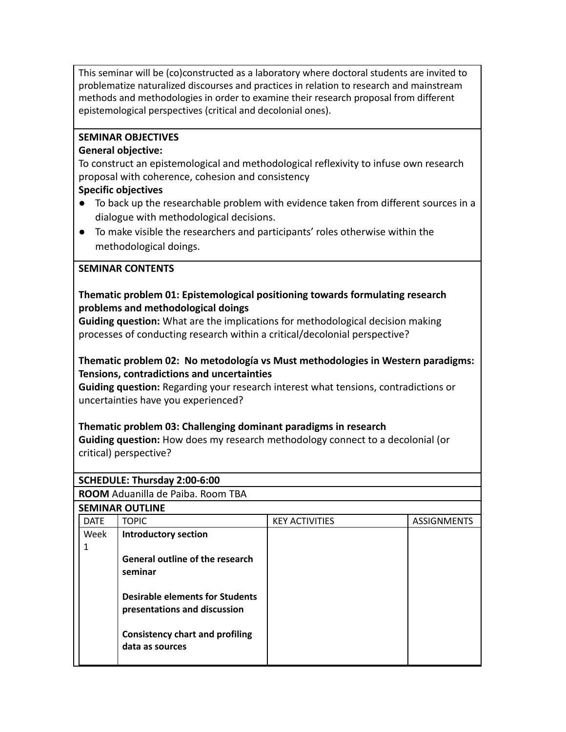This seminar will be (co)constructed as a laboratory where doctoral students are invited to problematize naturalized discourses and practices in relation to research and mainstream methods and methodologies in order to examine their research proposal from different epistemological perspectives (critical and decolonial ones).

# **SEMINAR OBJECTIVES**

# **General objective:**

To construct an epistemological and methodological reflexivity to infuse own research proposal with coherence, cohesion and consistency

# **Specific objectives**

- To back up the researchable problem with evidence taken from different sources in a dialogue with methodological decisions.
- To make visible the researchers and participants' roles otherwise within the methodological doings.

# **SEMINAR CONTENTS**

# **Thematic problem 01: Epistemological positioning towards formulating research problems and methodological doings**

**Guiding question:** What are the implications for methodological decision making processes of conducting research within a critical/decolonial perspective?

# **Thematic problem 02: No metodología vs Must methodologies in Western paradigms: Tensions, contradictions and uncertainties**

**Guiding question:** Regarding your research interest what tensions, contradictions or uncertainties have you experienced?

## **Thematic problem 03: Challenging dominant paradigms in research**

**Guiding question:** How does my research methodology connect to a decolonial (or critical) perspective?

## **SCHEDULE: Thursday 2:00-6:00**

**ROOM** Aduanilla de Paiba. Room TBA

| <b>SEMINAR OUTLINE</b> |                                        |                       |                    |  |  |
|------------------------|----------------------------------------|-----------------------|--------------------|--|--|
| <b>DATE</b>            | <b>TOPIC</b>                           | <b>KEY ACTIVITIES</b> | <b>ASSIGNMENTS</b> |  |  |
| Week                   | <b>Introductory section</b>            |                       |                    |  |  |
|                        |                                        |                       |                    |  |  |
|                        | General outline of the research        |                       |                    |  |  |
|                        | seminar                                |                       |                    |  |  |
|                        |                                        |                       |                    |  |  |
|                        | <b>Desirable elements for Students</b> |                       |                    |  |  |
|                        | presentations and discussion           |                       |                    |  |  |
|                        |                                        |                       |                    |  |  |
|                        | <b>Consistency chart and profiling</b> |                       |                    |  |  |
|                        | data as sources                        |                       |                    |  |  |
|                        |                                        |                       |                    |  |  |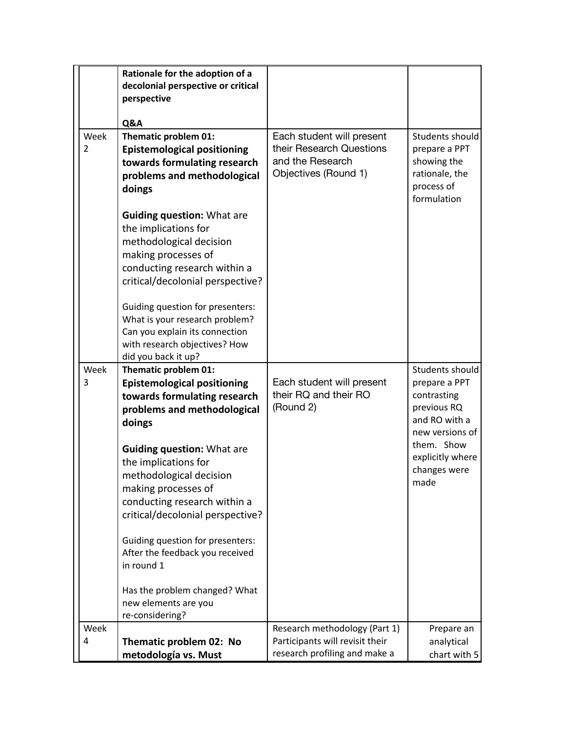|                |      | Rationale for the adoption of a                                    |                                 |                              |
|----------------|------|--------------------------------------------------------------------|---------------------------------|------------------------------|
|                |      | decolonial perspective or critical                                 |                                 |                              |
|                |      | perspective                                                        |                                 |                              |
|                |      | Q&A                                                                |                                 |                              |
|                | Week | Thematic problem 01:                                               | Each student will present       | Students should              |
| $\overline{2}$ |      | <b>Epistemological positioning</b>                                 | their Research Questions        | prepare a PPT                |
|                |      | towards formulating research                                       | and the Research                | showing the                  |
|                |      | problems and methodological                                        | Objectives (Round 1)            | rationale, the               |
|                |      | doings                                                             |                                 | process of                   |
|                |      |                                                                    |                                 | formulation                  |
|                |      | <b>Guiding question: What are</b>                                  |                                 |                              |
|                |      | the implications for                                               |                                 |                              |
|                |      | methodological decision                                            |                                 |                              |
|                |      | making processes of                                                |                                 |                              |
|                |      | conducting research within a                                       |                                 |                              |
|                |      | critical/decolonial perspective?                                   |                                 |                              |
|                |      |                                                                    |                                 |                              |
|                |      | Guiding question for presenters:<br>What is your research problem? |                                 |                              |
|                |      | Can you explain its connection                                     |                                 |                              |
|                |      | with research objectives? How                                      |                                 |                              |
|                |      | did you back it up?                                                |                                 |                              |
|                | Week | Thematic problem 01:                                               |                                 | Students should              |
| 3              |      | <b>Epistemological positioning</b>                                 | Each student will present       | prepare a PPT                |
|                |      | towards formulating research                                       | their RQ and their RO           | contrasting                  |
|                |      | problems and methodological                                        | (Round 2)                       | previous RQ<br>and RO with a |
|                |      | doings                                                             |                                 | new versions of              |
|                |      |                                                                    |                                 | them. Show                   |
|                |      | <b>Guiding question: What are</b><br>the implications for          |                                 | explicitly where             |
|                |      | methodological decision                                            |                                 | changes were                 |
|                |      | making processes of                                                |                                 | made                         |
|                |      | conducting research within a                                       |                                 |                              |
|                |      | critical/decolonial perspective?                                   |                                 |                              |
|                |      |                                                                    |                                 |                              |
|                |      | Guiding question for presenters:                                   |                                 |                              |
|                |      | After the feedback you received                                    |                                 |                              |
|                |      | in round 1                                                         |                                 |                              |
|                |      | Has the problem changed? What                                      |                                 |                              |
|                |      | new elements are you                                               |                                 |                              |
|                |      | re-considering?                                                    |                                 |                              |
|                | Week |                                                                    | Research methodology (Part 1)   | Prepare an                   |
| 4              |      | Thematic problem 02: No                                            | Participants will revisit their | analytical                   |
|                |      | metodología vs. Must                                               | research profiling and make a   | chart with 5                 |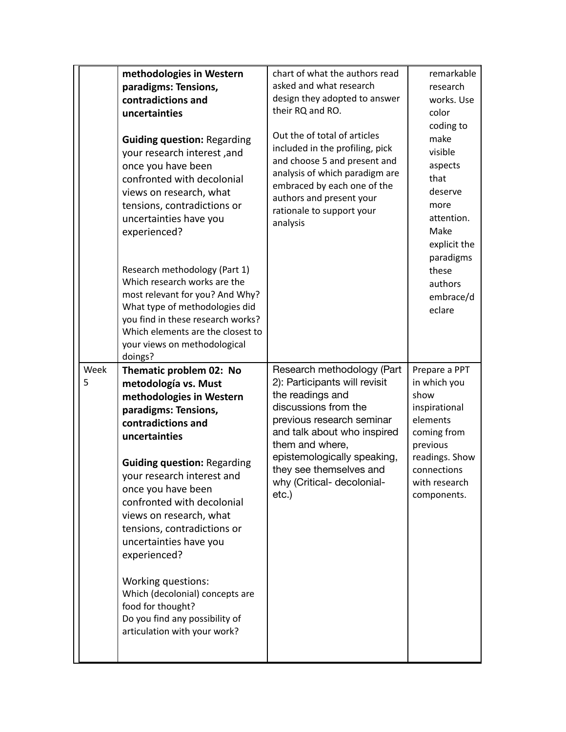|           | methodologies in Western<br>paradigms: Tensions,<br>contradictions and<br>uncertainties<br><b>Guiding question: Regarding</b><br>your research interest, and<br>once you have been<br>confronted with decolonial<br>views on research, what<br>tensions, contradictions or<br>uncertainties have you<br>experienced?                                                                                                                                                                                                   | chart of what the authors read<br>asked and what research<br>design they adopted to answer<br>their RQ and RO.<br>Out the of total of articles<br>included in the profiling, pick<br>and choose 5 and present and<br>analysis of which paradigm are<br>embraced by each one of the<br>authors and present your<br>rationale to support your<br>analysis | remarkable<br>research<br>works. Use<br>color<br>coding to<br>make<br>visible<br>aspects<br>that<br>deserve<br>more<br>attention.<br>Make<br>explicit the      |
|-----------|------------------------------------------------------------------------------------------------------------------------------------------------------------------------------------------------------------------------------------------------------------------------------------------------------------------------------------------------------------------------------------------------------------------------------------------------------------------------------------------------------------------------|---------------------------------------------------------------------------------------------------------------------------------------------------------------------------------------------------------------------------------------------------------------------------------------------------------------------------------------------------------|----------------------------------------------------------------------------------------------------------------------------------------------------------------|
|           | Research methodology (Part 1)<br>Which research works are the<br>most relevant for you? And Why?<br>What type of methodologies did<br>you find in these research works?<br>Which elements are the closest to<br>your views on methodological<br>doings?                                                                                                                                                                                                                                                                |                                                                                                                                                                                                                                                                                                                                                         | paradigms<br>these<br>authors<br>embrace/d<br>eclare                                                                                                           |
| Week<br>5 | Thematic problem 02: No<br>metodología vs. Must<br>methodologies in Western<br>paradigms: Tensions,<br>contradictions and<br>uncertainties<br><b>Guiding question: Regarding</b><br>your research interest and<br>once you have been<br>confronted with decolonial<br>views on research, what<br>tensions, contradictions or<br>uncertainties have you<br>experienced?<br>Working questions:<br>Which (decolonial) concepts are<br>food for thought?<br>Do you find any possibility of<br>articulation with your work? | Research methodology (Part<br>2): Participants will revisit<br>the readings and<br>discussions from the<br>previous research seminar<br>and talk about who inspired<br>them and where,<br>epistemologically speaking,<br>they see themselves and<br>why (Critical- decolonial-<br>etc.)                                                                 | Prepare a PPT<br>in which you<br>show<br>inspirational<br>elements<br>coming from<br>previous<br>readings. Show<br>connections<br>with research<br>components. |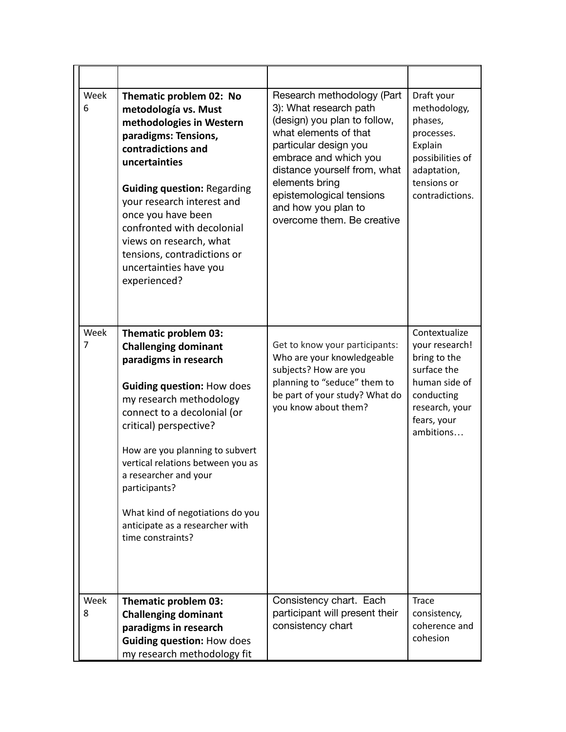| Week<br>6              | Thematic problem 02: No<br>metodología vs. Must<br>methodologies in Western<br>paradigms: Tensions,<br>contradictions and<br>uncertainties<br><b>Guiding question: Regarding</b><br>your research interest and<br>once you have been<br>confronted with decolonial<br>views on research, what<br>tensions, contradictions or<br>uncertainties have you<br>experienced?                                              | Research methodology (Part<br>3): What research path<br>(design) you plan to follow,<br>what elements of that<br>particular design you<br>embrace and which you<br>distance yourself from, what<br>elements bring<br>epistemological tensions<br>and how you plan to<br>overcome them. Be creative | Draft your<br>methodology,<br>phases,<br>processes.<br>Explain<br>possibilities of<br>adaptation,<br>tensions or<br>contradictions.         |
|------------------------|---------------------------------------------------------------------------------------------------------------------------------------------------------------------------------------------------------------------------------------------------------------------------------------------------------------------------------------------------------------------------------------------------------------------|----------------------------------------------------------------------------------------------------------------------------------------------------------------------------------------------------------------------------------------------------------------------------------------------------|---------------------------------------------------------------------------------------------------------------------------------------------|
| Week<br>$\overline{7}$ | Thematic problem 03:<br><b>Challenging dominant</b><br>paradigms in research<br><b>Guiding question: How does</b><br>my research methodology<br>connect to a decolonial (or<br>critical) perspective?<br>How are you planning to subvert<br>vertical relations between you as<br>a researcher and your<br>participants?<br>What kind of negotiations do you<br>anticipate as a researcher with<br>time constraints? | Get to know your participants:<br>Who are your knowledgeable<br>subjects? How are you<br>planning to "seduce" them to<br>be part of your study? What do<br>you know about them?                                                                                                                    | Contextualize<br>your research!<br>bring to the<br>surface the<br>human side of<br>conducting<br>research, your<br>fears, your<br>ambitions |
| Week                   | Thematic problem 03:                                                                                                                                                                                                                                                                                                                                                                                                | Consistency chart. Each                                                                                                                                                                                                                                                                            | <b>Trace</b>                                                                                                                                |
| 8                      | <b>Challenging dominant</b>                                                                                                                                                                                                                                                                                                                                                                                         | participant will present their                                                                                                                                                                                                                                                                     | consistency,                                                                                                                                |
|                        | paradigms in research                                                                                                                                                                                                                                                                                                                                                                                               | consistency chart                                                                                                                                                                                                                                                                                  | coherence and                                                                                                                               |
|                        | <b>Guiding question: How does</b>                                                                                                                                                                                                                                                                                                                                                                                   |                                                                                                                                                                                                                                                                                                    | cohesion                                                                                                                                    |
|                        | my research methodology fit                                                                                                                                                                                                                                                                                                                                                                                         |                                                                                                                                                                                                                                                                                                    |                                                                                                                                             |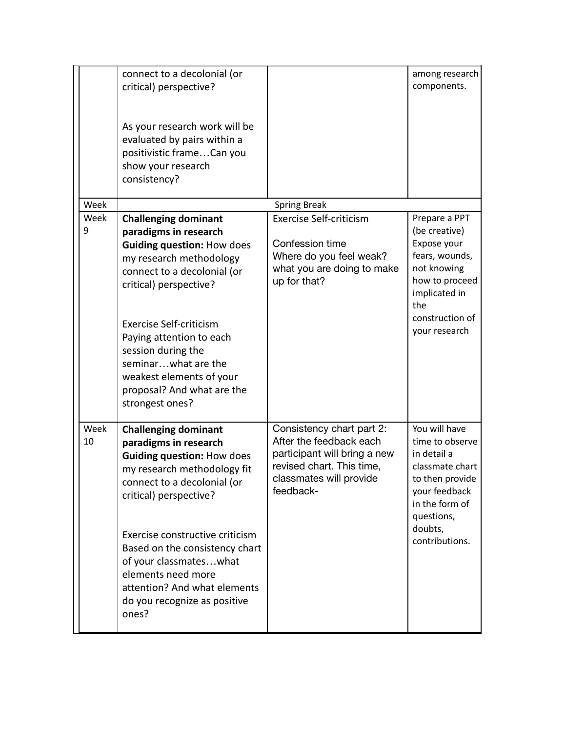|            | connect to a decolonial (or<br>critical) perspective?<br>As your research work will be<br>evaluated by pairs within a<br>positivistic frameCan you<br>show your research<br>consistency?                                                                                                                                                                                        |                                                                                                                                                           | among research<br>components.                                                                                                                                       |
|------------|---------------------------------------------------------------------------------------------------------------------------------------------------------------------------------------------------------------------------------------------------------------------------------------------------------------------------------------------------------------------------------|-----------------------------------------------------------------------------------------------------------------------------------------------------------|---------------------------------------------------------------------------------------------------------------------------------------------------------------------|
| Week       |                                                                                                                                                                                                                                                                                                                                                                                 | <b>Spring Break</b>                                                                                                                                       |                                                                                                                                                                     |
| Week<br>9  | <b>Challenging dominant</b><br>paradigms in research<br><b>Guiding question: How does</b><br>my research methodology<br>connect to a decolonial (or<br>critical) perspective?<br>Exercise Self-criticism<br>Paying attention to each<br>session during the<br>seminarwhat are the<br>weakest elements of your<br>proposal? And what are the<br>strongest ones?                  | <b>Exercise Self-criticism</b><br>Confession time<br>Where do you feel weak?<br>what you are doing to make<br>up for that?                                | Prepare a PPT<br>(be creative)<br>Expose your<br>fears, wounds,<br>not knowing<br>how to proceed<br>implicated in<br>the<br>construction of<br>your research        |
| Week<br>10 | <b>Challenging dominant</b><br>paradigms in research<br><b>Guiding question: How does</b><br>my research methodology fit<br>connect to a decolonial (or<br>critical) perspective?<br>Exercise constructive criticism<br>Based on the consistency chart<br>of your classmateswhat<br>elements need more<br>attention? And what elements<br>do you recognize as positive<br>ones? | Consistency chart part 2:<br>After the feedback each<br>participant will bring a new<br>revised chart. This time,<br>classmates will provide<br>feedback- | You will have<br>time to observe<br>in detail a<br>classmate chart<br>to then provide<br>your feedback<br>in the form of<br>questions,<br>doubts,<br>contributions. |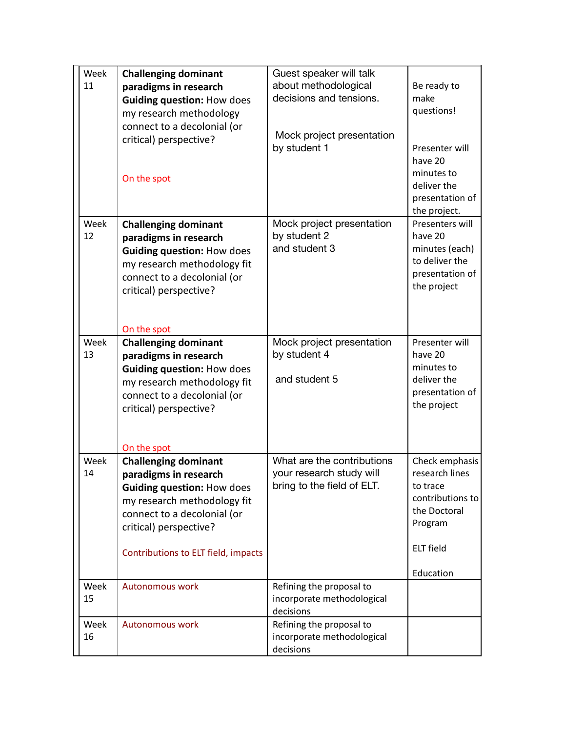| 11 | Week | <b>Challenging dominant</b><br>paradigms in research<br><b>Guiding question: How does</b><br>my research methodology<br>connect to a decolonial (or<br>critical) perspective?<br>On the spot                             | Guest speaker will talk<br>about methodological<br>decisions and tensions.<br>Mock project presentation<br>by student 1 | Be ready to<br>make<br>questions!<br>Presenter will<br>have 20<br>minutes to<br>deliver the<br>presentation of<br>the project. |
|----|------|--------------------------------------------------------------------------------------------------------------------------------------------------------------------------------------------------------------------------|-------------------------------------------------------------------------------------------------------------------------|--------------------------------------------------------------------------------------------------------------------------------|
| 12 | Week | <b>Challenging dominant</b><br>paradigms in research<br><b>Guiding question: How does</b><br>my research methodology fit<br>connect to a decolonial (or<br>critical) perspective?<br>On the spot                         | Mock project presentation<br>by student 2<br>and student 3                                                              | Presenters will<br>have 20<br>minutes (each)<br>to deliver the<br>presentation of<br>the project                               |
| 13 | Week | <b>Challenging dominant</b><br>paradigms in research<br><b>Guiding question: How does</b><br>my research methodology fit<br>connect to a decolonial (or<br>critical) perspective?<br>On the spot                         | Mock project presentation<br>by student 4<br>and student 5                                                              | Presenter will<br>have 20<br>minutes to<br>deliver the<br>presentation of<br>the project                                       |
| 14 | Week | <b>Challenging dominant</b><br>paradigms in research<br><b>Guiding question: How does</b><br>my research methodology fit<br>connect to a decolonial (or<br>critical) perspective?<br>Contributions to ELT field, impacts | What are the contributions<br>your research study will<br>bring to the field of ELT.                                    | Check emphasis<br>research lines<br>to trace<br>contributions to<br>the Doctoral<br>Program<br><b>ELT</b> field<br>Education   |
| 15 | Week | <b>Autonomous work</b>                                                                                                                                                                                                   | Refining the proposal to<br>incorporate methodological<br>decisions                                                     |                                                                                                                                |
| 16 | Week | Autonomous work                                                                                                                                                                                                          | Refining the proposal to<br>incorporate methodological<br>decisions                                                     |                                                                                                                                |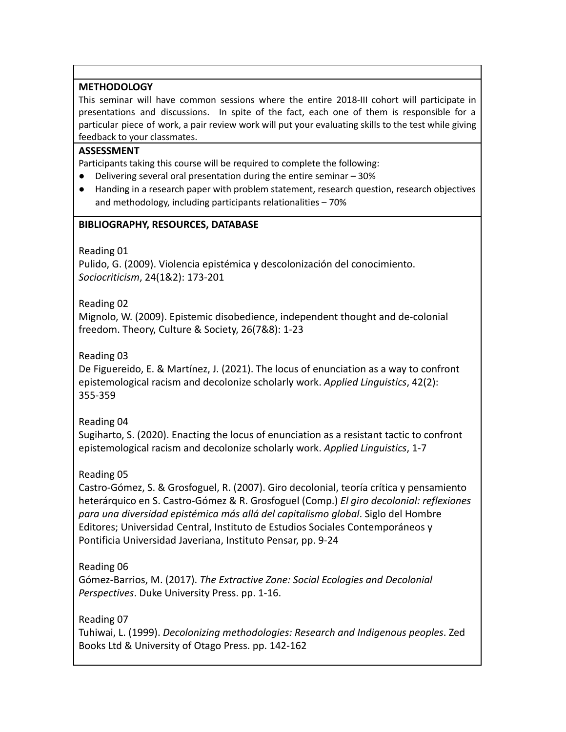#### **METHODOLOGY**

This seminar will have common sessions where the entire 2018-III cohort will participate in presentations and discussions. In spite of the fact, each one of them is responsible for a particular piece of work, a pair review work will put your evaluating skills to the test while giving feedback to your classmates.

#### **ASSESSMENT**

Participants taking this course will be required to complete the following:

- Delivering several oral presentation during the entire seminar 30%
- Handing in a research paper with problem statement, research question, research objectives and methodology, including participants relationalities – 70%

#### **BIBLIOGRAPHY, RESOURCES, DATABASE**

Reading 01

Pulido, G. (2009). Violencia epistémica y descolonización del conocimiento. *Sociocriticism*, 24(1&2): 173-201

Reading 02

Mignolo, W. (2009). Epistemic disobedience, independent thought and de-colonial freedom. Theory, Culture & Society, 26(7&8): 1-23

Reading 03

De Figuereido, E. & Martínez, J. (2021). The locus of enunciation as a way to confront epistemological racism and decolonize scholarly work. *Applied Linguistics*, 42(2): 355-359

Reading 04

Sugiharto, S. (2020). Enacting the locus of enunciation as a resistant tactic to confront epistemological racism and decolonize scholarly work. *Applied Linguistics*, 1-7

## Reading 05

Castro-Gómez, S. & Grosfoguel, R. (2007). Giro decolonial, teoría crítica y pensamiento heterárquico en S. Castro-Gómez & R. Grosfoguel (Comp.) *El giro decolonial: reflexiones para una diversidad epistémica más allá del capitalismo global*. Siglo del Hombre Editores; Universidad Central, Instituto de Estudios Sociales Contemporáneos y Pontificia Universidad Javeriana, Instituto Pensar, pp. 9-24

## Reading 06

Gómez-Barrios, M. (2017). *The Extractive Zone: Social Ecologies and Decolonial Perspectives*. Duke University Press. pp. 1-16.

## Reading 07

Tuhiwai, L. (1999). *Decolonizing methodologies: Research and Indigenous peoples*. Zed Books Ltd & University of Otago Press. pp. 142-162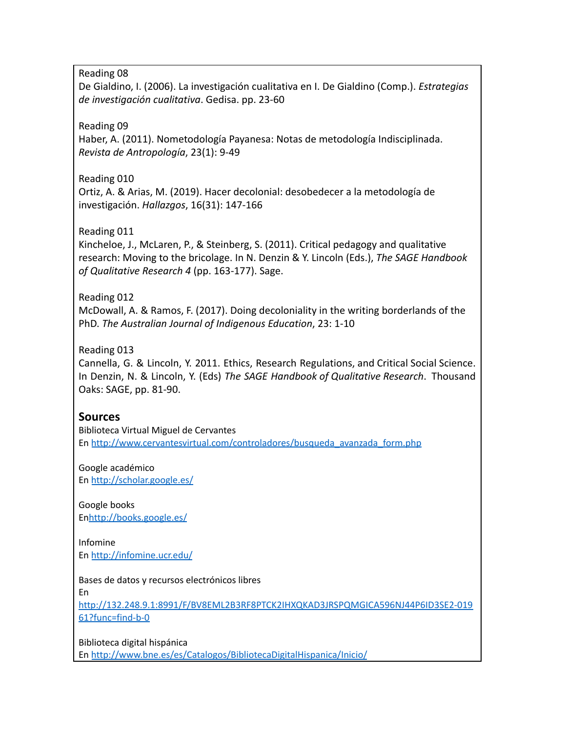Reading 08

De Gialdino, I. (2006). La investigación cualitativa en I. De Gialdino (Comp.). *Estrategias de investigación cualitativa*. Gedisa. pp. 23-60

Reading 09

Haber, A. (2011). Nometodología Payanesa: Notas de metodología Indisciplinada. *Revista de Antropología*, 23(1): 9-49

Reading 010

Ortiz, A. & Arias, M. (2019). Hacer decolonial: desobedecer a la metodología de investigación. *Hallazgos*, 16(31): 147-166

Reading 011

Kincheloe, J., McLaren, P., & Steinberg, S. (2011). Critical pedagogy and qualitative research: Moving to the bricolage. In N. Denzin & Y. Lincoln (Eds.), *The SAGE Handbook of Qualitative Research 4* (pp. 163-177). Sage.

Reading 012

McDowall, A. & Ramos, F. (2017). Doing decoloniality in the writing borderlands of the PhD. *The Australian Journal of Indigenous Education*, 23: 1-10

Reading 013

Cannella, G. & Lincoln, Y. 2011. Ethics, Research Regulations, and Critical Social Science. In Denzin, N. & Lincoln, Y. (Eds) *The SAGE Handbook of Qualitative Research*. Thousand Oaks: SAGE, pp. 81-90.

## **Sources**

Biblioteca Virtual Miguel de Cervantes En [http://www.cervantesvirtual.com/controladores/busqueda\\_avanzada\\_form.php](http://www.cervantesvirtual.com/controladores/busqueda_avanzada_form.php)

Google académico En <http://scholar.google.es/>

Google books E[nhttp://books.google.es/](http://books.google.es/)

Infomine En <http://infomine.ucr.edu/>

Bases de datos y recursos electrónicos libres

En

[http://132.248.9.1:8991/F/BV8EML2B3RF8PTCK2IHXQKAD3JRSPQMGICA596NJ44P6ID3SE2-019](http://132.248.9.1:8991/F/BV8EML2B3RF8PTCK2IHXQKAD3JRSPQMGICA596NJ44P6ID3SE2-01961?func=find-b-0) [61?func=find-b-0](http://132.248.9.1:8991/F/BV8EML2B3RF8PTCK2IHXQKAD3JRSPQMGICA596NJ44P6ID3SE2-01961?func=find-b-0)

Biblioteca digital hispánica En <http://www.bne.es/es/Catalogos/BibliotecaDigitalHispanica/Inicio/>